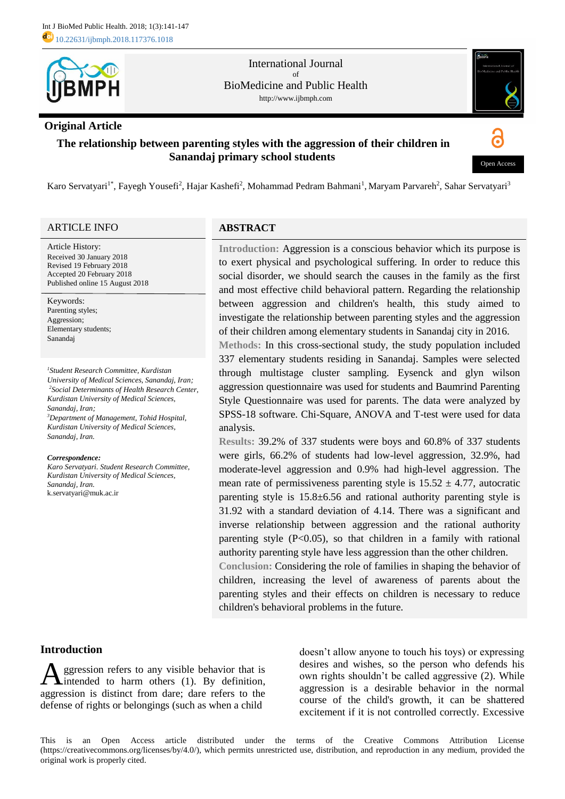

#### International Journal of BioMedicine and Public Health http://www.ijbmph.com

### **Original Article**

# **The relationship between parenting styles with the aggression of their children in Sanandaj primary school students**



Karo Servatyari<sup>1\*</sup>, Fayegh Yousefi<sup>2</sup>, Hajar Kashefi<sup>2</sup>, Mohammad Pedram Bahmani<sup>1</sup>, Maryam Parvareh<sup>2</sup>, Sahar Servatyari<sup>3</sup>

### ARTICLE INFO

Article History: Received 30 January 2018 Revised 19 February 2018 Accepted 20 February 2018 Published online 15 August 2018

Keywords: Parenting styles; Aggression; Elementary students; Sanandaj

*<sup>1</sup>Student Research Committee, Kurdistan University of Medical Sciences, Sanandaj, Iran; <sup>2</sup>Social Determinants of Health Research Center, Kurdistan University of Medical Sciences, Sanandaj, Iran; <sup>3</sup>Department of Management, Tohid Hospital, Kurdistan University of Medical Sciences, Sanandaj, Iran.*

#### *Correspondence:*

*Karo Servatyari. Student Research Committee, Kurdistan University of Medical Sciences, Sanandaj, Iran.*  [k.servatyari@muk.ac.ir](mailto:k.servatyari@muk.ac.ir) 

### **ABSTRACT**

**Introduction:** Aggression is a conscious behavior which its purpose is to exert physical and psychological suffering. In order to reduce this social disorder, we should search the causes in the family as the first and most effective child behavioral pattern. Regarding the relationship between aggression and children's health, this study aimed to investigate the relationship between parenting styles and the aggression of their children among elementary students in Sanandaj city in 2016.

**Methods:** In this cross-sectional study, the study population included 337 elementary students residing in Sanandaj. Samples were selected through multistage cluster sampling. Eysenck and glyn wilson aggression questionnaire was used for students and Baumrind Parenting Style Questionnaire was used for parents. The data were analyzed by SPSS-18 software. Chi-Square, ANOVA and T-test were used for data analysis.

**Results:** 39.2% of 337 students were boys and 60.8% of 337 students were girls, 66.2% of students had low-level aggression, 32.9%, had moderate-level aggression and 0.9% had high-level aggression. The mean rate of permissiveness parenting style is  $15.52 \pm 4.77$ , autocratic parenting style is 15.8±6.56 and rational authority parenting style is 31.92 with a standard deviation of 4.14. There was a significant and inverse relationship between aggression and the rational authority parenting style  $(P<0.05)$ , so that children in a family with rational authority parenting style have less aggression than the other children.

**Conclusion:** Considering the role of families in shaping the behavior of children, increasing the level of awareness of parents about the parenting styles and their effects on children is necessary to reduce children's behavioral problems in the future.

## **Introduction**

ggression refers to any visible behavior that is intended to harm others (1). By definition, aggression is distinct from dare; dare refers to the defense of rights or belongings (such as when a child A

doesn't allow anyone to touch his toys) or expressing desires and wishes, so the person who defends his own rights shouldn't be called aggressive (2). While aggression is a desirable behavior in the normal course of the child's growth, it can be shattered excitement if it is not controlled correctly. Excessive

This is an Open Access article distributed under the terms of the Creative Commons Attribution License (https://creativecommons.org/licenses/by/4.0/), which permits unrestricted use, distribution, and reproduction in any medium, provided the original work is properly cited.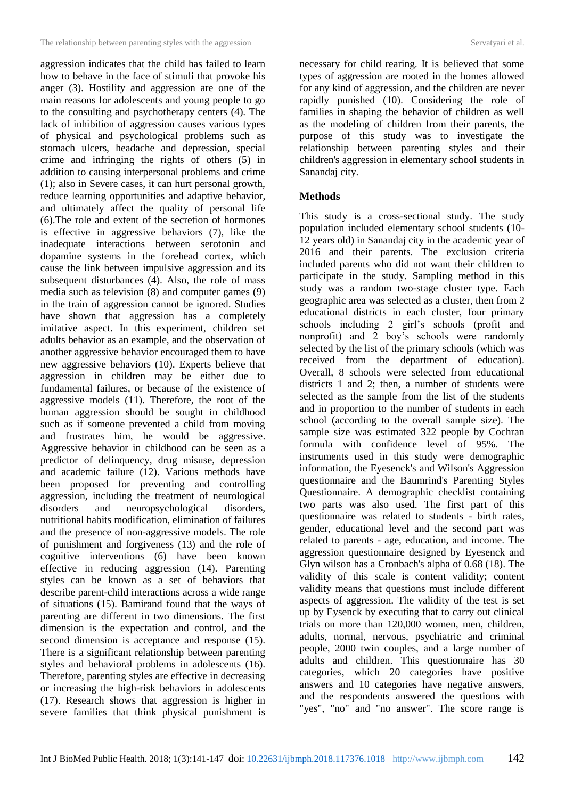aggression indicates that the child has failed to learn how to behave in the face of stimuli that provoke his anger (3). Hostility and aggression are one of the main reasons for adolescents and young people to go to the consulting and psychotherapy centers (4). The lack of inhibition of aggression causes various types of physical and psychological problems such as stomach ulcers, headache and depression, special crime and infringing the rights of others (5) in addition to causing interpersonal problems and crime (1); also in Severe cases, it can hurt personal growth, reduce learning opportunities and adaptive behavior, and ultimately affect the quality of personal life (6).The role and extent of the secretion of hormones is effective in aggressive behaviors (7), like the inadequate interactions between serotonin and dopamine systems in the forehead cortex, which cause the link between impulsive aggression and its subsequent disturbances (4). Also, the role of mass media such as television (8) and computer games (9) in the train of aggression cannot be ignored. Studies have shown that aggression has a completely imitative aspect. In this experiment, children set adults behavior as an example, and the observation of another aggressive behavior encouraged them to have new aggressive behaviors (10). Experts believe that aggression in children may be either due to fundamental failures, or because of the existence of aggressive models (11). Therefore, the root of the human aggression should be sought in childhood such as if someone prevented a child from moving and frustrates him, he would be aggressive. Aggressive behavior in childhood can be seen as a predictor of delinquency, drug misuse, depression and academic failure (12). Various methods have been proposed for preventing and controlling aggression, including the treatment of neurological disorders and neuropsychological disorders, nutritional habits modification, elimination of failures and the presence of non-aggressive models. The role of punishment and forgiveness (13) and the role of cognitive interventions (6) have been known effective in reducing aggression (14). Parenting styles can be known as a set of behaviors that describe parent-child interactions across a wide range of situations (15). Bamirand found that the ways of parenting are different in two dimensions. The first dimension is the expectation and control, and the second dimension is acceptance and response (15). There is a significant relationship between parenting styles and behavioral problems in adolescents (16). Therefore, parenting styles are effective in decreasing or increasing the high-risk behaviors in adolescents (17). Research shows that aggression is higher in severe families that think physical punishment is

necessary for child rearing. It is believed that some types of aggression are rooted in the homes allowed for any kind of aggression, and the children are never rapidly punished (10). Considering the role of families in shaping the behavior of children as well as the modeling of children from their parents, the purpose of this study was to investigate the relationship between parenting styles and their children's aggression in elementary school students in Sanandaj city.

### **Methods**

This study is a cross-sectional study. The study population included elementary school students (10- 12 years old) in Sanandaj city in the academic year of 2016 and their parents. The exclusion criteria included parents who did not want their children to participate in the study. Sampling method in this study was a random two-stage cluster type. Each geographic area was selected as a cluster, then from 2 educational districts in each cluster, four primary schools including 2 girl's schools (profit and nonprofit) and 2 boy's schools were randomly selected by the list of the primary schools (which was received from the department of education). Overall, 8 schools were selected from educational districts 1 and 2; then, a number of students were selected as the sample from the list of the students and in proportion to the number of students in each school (according to the overall sample size). The sample size was estimated 322 people by Cochran formula with confidence level of 95%. The instruments used in this study were demographic information, the Eyesenck's and Wilson's Aggression questionnaire and the Baumrind's Parenting Styles Questionnaire. A demographic checklist containing two parts was also used. The first part of this questionnaire was related to students - birth rates, gender, educational level and the second part was related to parents - age, education, and income. The aggression questionnaire designed by Eyesenck and Glyn wilson has a Cronbach's alpha of 0.68 (18). The validity of this scale is content validity; content validity means that questions must include different aspects of aggression. The validity of the test is set up by Eysenck by executing that to carry out clinical trials on more than 120,000 women, men, children, adults, normal, nervous, psychiatric and criminal people, 2000 twin couples, and a large number of adults and children. This questionnaire has 30 categories, which 20 categories have positive answers and 10 categories have negative answers, and the respondents answered the questions with "yes", "no" and "no answer". The score range is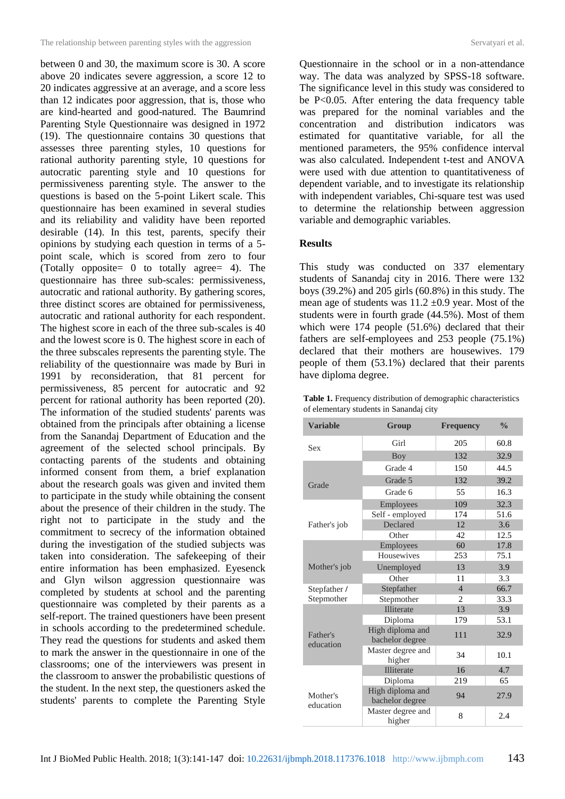between 0 and 30, the maximum score is 30. A score above 20 indicates severe aggression, a score 12 to 20 indicates aggressive at an average, and a score less than 12 indicates poor aggression, that is, those who are kind-hearted and good-natured. The Baumrind Parenting Style Questionnaire was designed in 1972 (19). The questionnaire contains 30 questions that assesses three parenting styles, 10 questions for rational authority parenting style, 10 questions for autocratic parenting style and 10 questions for permissiveness parenting style. The answer to the questions is based on the 5-point Likert scale. This questionnaire has been examined in several studies and its reliability and validity have been reported desirable (14). In this test, parents, specify their opinions by studying each question in terms of a 5 point scale, which is scored from zero to four (Totally opposite= 0 to totally agree= 4). The questionnaire has three sub-scales: permissiveness, autocratic and rational authority. By gathering scores, three distinct scores are obtained for permissiveness, autocratic and rational authority for each respondent. The highest score in each of the three sub-scales is 40 and the lowest score is 0. The highest score in each of the three subscales represents the parenting style. The reliability of the questionnaire was made by Buri in 1991 by reconsideration, that 81 percent for permissiveness, 85 percent for autocratic and 92 percent for rational authority has been reported (20). The information of the studied students' parents was obtained from the principals after obtaining a license from the Sanandaj Department of Education and the agreement of the selected school principals. By contacting parents of the students and obtaining informed consent from them, a brief explanation about the research goals was given and invited them to participate in the study while obtaining the consent about the presence of their children in the study. The right not to participate in the study and the commitment to secrecy of the information obtained during the investigation of the studied subjects was taken into consideration. The safekeeping of their entire information has been emphasized. Eyesenck and Glyn wilson aggression questionnaire was completed by students at school and the parenting questionnaire was completed by their parents as a self-report. The trained questioners have been present in schools according to the predetermined schedule. They read the questions for students and asked them to mark the answer in the questionnaire in one of the classrooms; one of the interviewers was present in the classroom to answer the probabilistic questions of the student. In the next step, the questioners asked the students' parents to complete the Parenting Style

Questionnaire in the school or in a non-attendance way. The data was analyzed by SPSS-18 software. The significance level in this study was considered to be P<0.05. After entering the data frequency table was prepared for the nominal variables and the concentration and distribution indicators was estimated for quantitative variable, for all the mentioned parameters, the 95% confidence interval was also calculated. Independent t-test and ANOVA were used with due attention to quantitativeness of dependent variable, and to investigate its relationship with independent variables, Chi-square test was used to determine the relationship between aggression variable and demographic variables.

### **Results**

This study was conducted on 337 elementary students of Sanandaj city in 2016. There were 132 boys (39.2%) and 205 girls (60.8%) in this study. The mean age of students was  $11.2 \pm 0.9$  year. Most of the students were in fourth grade (44.5%). Most of them which were 174 people (51.6%) declared that their fathers are self-employees and 253 people (75.1%) declared that their mothers are housewives. 179 people of them (53.1%) declared that their parents have diploma degree.

| <b>Table 1.</b> Frequency distribution of demographic characteristics |  |
|-----------------------------------------------------------------------|--|
| of elementary students in Sanandaj city                               |  |

| <b>Variable</b>       | Group<br><b>Frequency</b>           |                | $\frac{0}{\alpha}$ |
|-----------------------|-------------------------------------|----------------|--------------------|
| Sex                   | Girl                                | 205            | 60.8               |
|                       | Boy                                 | 132            | 32.9               |
|                       | Grade 4                             | 150            | 44.5               |
| Grade                 | Grade 5                             | 132            | 39.2               |
|                       | Grade 6                             | 55             | 16.3               |
|                       | Employees                           | 109            | 32.3               |
|                       | Self - employed                     | 174            | 51.6               |
| Father's job          | Declared                            | 12             | 3.6                |
|                       | Other                               | 42             | 12.5               |
|                       | Employees                           | 60             | 17.8               |
|                       | Housewives                          | 253            | 75.1               |
| Mother's job          | Unemployed                          | 13             | 3.9                |
|                       | Other                               | 11             | 3.3                |
| Stepfather /          | Stepfather                          | $\overline{4}$ | 66.7               |
| Stepmother            | Stepmother                          | 2              | 33.3               |
|                       | <b>Illiterate</b>                   | 13             | 3.9                |
|                       | Diploma                             | 179            | 53.1               |
| Father's<br>education | High diploma and<br>bachelor degree | 111            | 32.9               |
|                       | Master degree and<br>higher         | 34             | 10.1               |
|                       | <b>Illiterate</b>                   | 16             | 4.7                |
|                       | Diploma                             | 219            | 65                 |
| Mother's<br>education | High diploma and<br>bachelor degree | 94             | 27.9               |
|                       | Master degree and<br>higher         | 8              | 2.4                |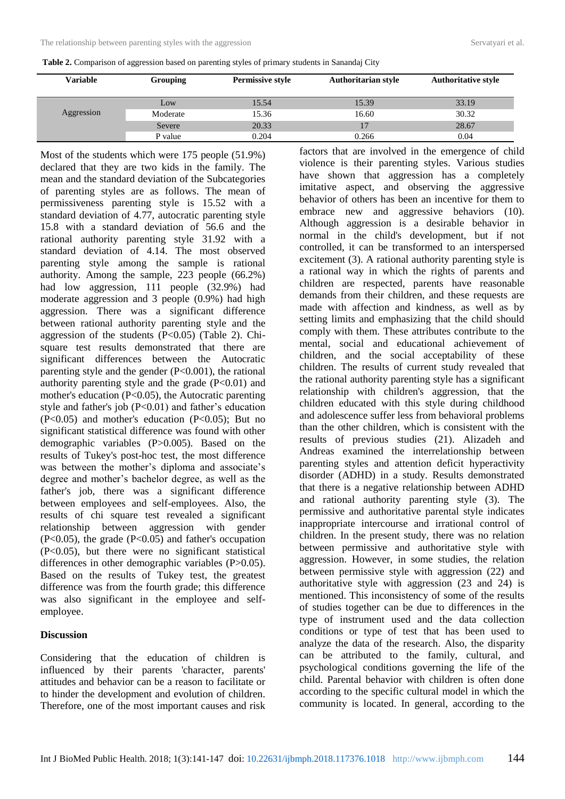| <b>Variable</b> | <b>Grouping</b> | <b>Permissive style</b> | <b>Authoritarian style</b> | <b>Authoritative style</b> |
|-----------------|-----------------|-------------------------|----------------------------|----------------------------|
|                 | Low             | 15.54                   | 15.39                      | 33.19                      |
| Aggression      | Moderate        | 15.36                   | 16.60                      | 30.32                      |
|                 | Severe          | 20.33                   | 17                         | 28.67                      |
|                 | P value         | 0.204                   | 0.266                      | 0.04                       |

**Table 2.** Comparison of aggression based on parenting styles of primary students in Sanandaj City

Most of the students which were 175 people (51.9%) declared that they are two kids in the family. The mean and the standard deviation of the Subcategories of parenting styles are as follows. The mean of permissiveness parenting style is 15.52 with a standard deviation of 4.77, autocratic parenting style 15.8 with a standard deviation of 56.6 and the rational authority parenting style 31.92 with a standard deviation of 4.14. The most observed parenting style among the sample is rational authority. Among the sample, 223 people (66.2%) had low aggression,  $111$  people  $(32.9%)$  had moderate aggression and 3 people (0.9%) had high aggression. There was a significant difference between rational authority parenting style and the aggression of the students  $(P<0.05)$  (Table 2). Chisquare test results demonstrated that there are significant differences between the Autocratic parenting style and the gender  $(P<0.001)$ , the rational authority parenting style and the grade  $(P<0.01)$  and mother's education  $(P<0.05)$ , the Autocratic parenting style and father's job  $(P<0.01)$  and father's education  $(P<0.05)$  and mother's education  $(P<0.05)$ ; But no significant statistical difference was found with other demographic variables (P>0.005). Based on the results of Tukey's post-hoc test, the most difference was between the mother's diploma and associate's degree and mother's bachelor degree, as well as the father's job, there was a significant difference between employees and self-employees. Also, the results of chi square test revealed a significant relationship between aggression with gender  $(P<0.05)$ , the grade  $(P<0.05)$  and father's occupation (P<0.05), but there were no significant statistical differences in other demographic variables (P>0.05). Based on the results of Tukey test, the greatest difference was from the fourth grade; this difference was also significant in the employee and selfemployee.

#### **Discussion**

Considering that the education of children is influenced by their parents 'character, parents' attitudes and behavior can be a reason to facilitate or to hinder the development and evolution of children. Therefore, one of the most important causes and risk

factors that are involved in the emergence of child violence is their parenting styles. Various studies have shown that aggression has a completely imitative aspect, and observing the aggressive behavior of others has been an incentive for them to embrace new and aggressive behaviors (10). Although aggression is a desirable behavior in normal in the child's development, but if not controlled, it can be transformed to an interspersed excitement (3). A rational authority parenting style is a rational way in which the rights of parents and children are respected, parents have reasonable demands from their children, and these requests are made with affection and kindness, as well as by setting limits and emphasizing that the child should comply with them. These attributes contribute to the mental, social and educational achievement of children, and the social acceptability of these children. The results of current study revealed that the rational authority parenting style has a significant relationship with children's aggression, that the children educated with this style during childhood and adolescence suffer less from behavioral problems than the other children, which is consistent with the results of previous studies (21). Alizadeh and Andreas examined the interrelationship between parenting styles and attention deficit hyperactivity disorder (ADHD) in a study. Results demonstrated that there is a negative relationship between ADHD and rational authority parenting style (3). The permissive and authoritative parental style indicates inappropriate intercourse and irrational control of children. In the present study, there was no relation between permissive and authoritative style with aggression. However, in some studies, the relation between permissive style with aggression (22) and authoritative style with aggression (23 and 24) is mentioned. This inconsistency of some of the results of studies together can be due to differences in the type of instrument used and the data collection conditions or type of test that has been used to analyze the data of the research. Also, the disparity can be attributed to the family, cultural, and psychological conditions governing the life of the child. Parental behavior with children is often done according to the specific cultural model in which the community is located. In general, according to the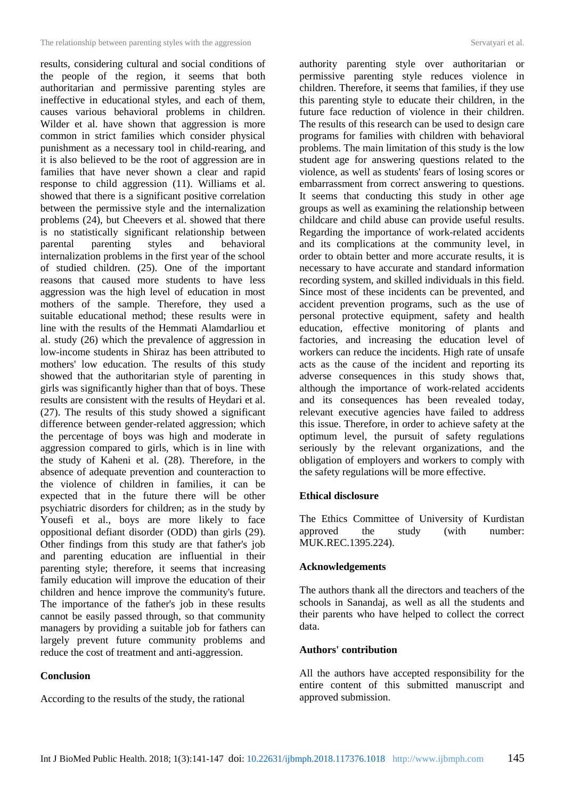results, considering cultural and social conditions of the people of the region, it seems that both authoritarian and permissive parenting styles are ineffective in educational styles, and each of them, causes various behavioral problems in children. Wilder et al. have shown that aggression is more common in strict families which consider physical punishment as a necessary tool in child-rearing, and it is also believed to be the root of aggression are in families that have never shown a clear and rapid response to child aggression (11). Williams et al. showed that there is a significant positive correlation between the permissive style and the internalization problems (24), but Cheevers et al. showed that there is no statistically significant relationship between parental parenting styles and behavioral internalization problems in the first year of the school of studied children. (25). One of the important reasons that caused more students to have less aggression was the high level of education in most mothers of the sample. Therefore, they used a suitable educational method; these results were in line with the results of the Hemmati Alamdarliou et al. study (26) which the prevalence of aggression in low-income students in Shiraz has been attributed to mothers' low education. The results of this study showed that the authoritarian style of parenting in girls was significantly higher than that of boys. These results are consistent with the results of Heydari et al. (27). The results of this study showed a significant difference between gender-related aggression; which the percentage of boys was high and moderate in aggression compared to girls, which is in line with the study of Kaheni et al. (28). Therefore, in the absence of adequate prevention and counteraction to the violence of children in families, it can be expected that in the future there will be other psychiatric disorders for children; as in the study by Yousefi et al., boys are more likely to face oppositional defiant disorder (ODD) than girls (29). Other findings from this study are that father's job and parenting education are influential in their parenting style; therefore, it seems that increasing family education will improve the education of their children and hence improve the community's future. The importance of the father's job in these results cannot be easily passed through, so that community managers by providing a suitable job for fathers can largely prevent future community problems and reduce the cost of treatment and anti-aggression.

#### **Conclusion**

According to the results of the study, the rational

authority parenting style over authoritarian or permissive parenting style reduces violence in children. Therefore, it seems that families, if they use this parenting style to educate their children, in the future face reduction of violence in their children. The results of this research can be used to design care programs for families with children with behavioral problems. The main limitation of this study is the low student age for answering questions related to the violence, as well as students' fears of losing scores or embarrassment from correct answering to questions. It seems that conducting this study in other age groups as well as examining the relationship between childcare and child abuse can provide useful results. Regarding the importance of work-related accidents and its complications at the community level, in order to obtain better and more accurate results, it is necessary to have accurate and standard information recording system, and skilled individuals in this field. Since most of these incidents can be prevented, and accident prevention programs, such as the use of personal protective equipment, safety and health education, effective monitoring of plants and factories, and increasing the education level of workers can reduce the incidents. High rate of unsafe acts as the cause of the incident and reporting its adverse consequences in this study shows that, although the importance of work-related accidents and its consequences has been revealed today, relevant executive agencies have failed to address this issue. Therefore, in order to achieve safety at the optimum level, the pursuit of safety regulations seriously by the relevant organizations, and the obligation of employers and workers to comply with the safety regulations will be more effective.

## **Ethical disclosure**

The Ethics Committee of University of Kurdistan approved the study (with number: MUK.REC.1395.224).

## **Acknowledgements**

The authors thank all the directors and teachers of the schools in Sanandaj, as well as all the students and their parents who have helped to collect the correct data.

### **Authors' contribution**

All the authors have accepted responsibility for the entire content of this submitted manuscript and approved submission.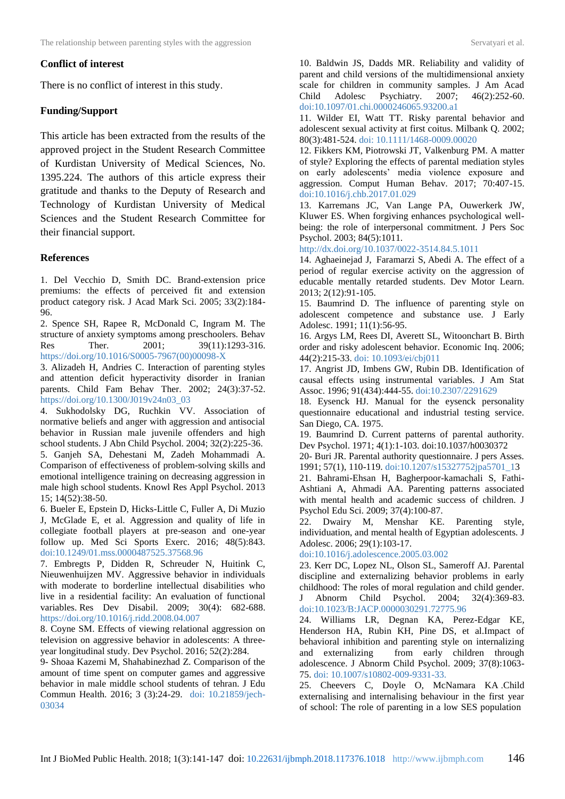### **Conflict of interest**

There is no conflict of interest in this study.

### **Funding/Support**

This article has been extracted from the results of the approved project in the Student Research Committee of Kurdistan University of Medical Sciences, No. 1395.224. The authors of this article express their gratitude and thanks to the Deputy of Research and Technology of Kurdistan University of Medical Sciences and the Student Research Committee for their financial support.

### **References**

1. Del Vecchio D, Smith DC. Brand-extension price premiums: the effects of perceived fit and extension product category risk. J Acad Mark Sci. 2005; 33(2):184- 96.

2. Spence SH, Rapee R, McDonald C, Ingram M. The structure of anxiety symptoms among preschoolers. Behav Res Ther. 2001; 39(11):1293-316. [https://doi.org/10.1016/S0005-7967\(00\)00098-X](https://doi.org/10.1016/S0005-7967(00)00098-X)

3. Alizadeh H, Andries C. Interaction of parenting styles and attention deficit hyperactivity disorder in Iranian parents. Child Fam Behav Ther. 2002; 24(3):37-52. [https://doi.org/10.1300/J019v24n03\\_03](https://doi.org/10.1300/J019v24n03_03)

4. Sukhodolsky DG, Ruchkin VV. Association of normative beliefs and anger with aggression and antisocial behavior in Russian male juvenile offenders and high school students. J Abn Child Psychol. 2004; 32(2):225-36.

5. Ganjeh SA, Dehestani M, Zadeh Mohammadi A. Comparison of effectiveness of problem-solving skills and emotional intelligence training on decreasing aggression in male high school students. Knowl Res Appl Psychol. 2013 15; 14(52):38-50.

6. Bueler E, Epstein D, Hicks-Little C, Fuller A, Di Muzio J, McGlade E, et al. Aggression and quality of life in collegiate football players at pre-season and one-year follow up. Med Sci Sports Exerc. 2016; 48(5):843. [doi:10.1249/01.mss.0000487525.37568.96](https://insights.ovid.com/medicine-science-sports-exercise/mespex/2016/05/001/aggression-quality-life-collegiate-football/2519/00005768)

7. Embregts P, Didden R, Schreuder N, Huitink C, Nieuwenhuijzen MV. Aggressive behavior in individuals with moderate to borderline intellectual disabilities who live in a residential facility: An evaluation of functional variables. Res Dev Disabil. 2009; 30(4): 682-688. <https://doi.org/10.1016/j.ridd.2008.04.007>

8. Coyne SM. Effects of viewing relational aggression on television on aggressive behavior in adolescents: A threeyear longitudinal study. Dev Psychol. 2016; 52(2):284.

9- Shoaa Kazemi M, Shahabinezhad Z. Comparison of the amount of time spent on computer games and aggressive behavior in male middle school students of tehran. J Edu Commun Health. 2016; 3 (3):24-29. [doi: 10.21859/jech-](http://dx.doi.org/10.21859/jech-03034)[03034](http://dx.doi.org/10.21859/jech-03034)

10. Baldwin JS, Dadds MR. Reliability and validity of

parent and child versions of the multidimensional anxiety scale for children in community samples. J Am Acad Child Adolesc Psychiatry. 2007; 46(2):252-60. [doi:10.1097/01.chi.0000246065.93200.a1](https://doi.org/10.1097/01.chi.0000246065.93200.a1)

11. Wilder EI, Watt TT. Risky parental behavior and adolescent sexual activity at first coitus. Milbank Q. 2002; 80(3):481-524. [doi: 10.1111/1468-0009.00020](https://onlinelibrary.wiley.com/doi/full/10.1111/1468-0009.00020)

12. Fikkers KM, Piotrowski JT, Valkenburg PM. A matter of style? Exploring the effects of parental mediation styles on early adolescents' media violence exposure and aggression. Comput Human Behav. 2017; 70:407-15. [doi:10.1016/j.chb.2017.01.029](https://doi.org/10.1016/j.chb.2017.01.029)

13. Karremans JC, Van Lange PA, Ouwerkerk JW, Kluwer ES. When forgiving enhances psychological wellbeing: the role of interpersonal commitment. J Pers Soc Psychol. 2003; 84(5):1011.

[http://dx.doi.org/10.1037/0022-3514.84.5.1011](http://psycnet.apa.org/doi/10.1037/0022-3514.84.5.1011)

14. [Aghaeinejad J,](https://jmlm.ut.ac.ir/?_action=article&au=157175&_au=Janbaba++Aghaeinejad) [Faramarzi](https://jmlm.ut.ac.ir/?_action=article&au=166975&_au=Salar++Faramarzi) S, [Abedi](https://jmlm.ut.ac.ir/?_action=article&au=166976&_au=Ahmad++Abedi) A. The effect of a period of regular exercise activity on the aggression of educable mentally retarded students. Dev Motor Learn. 2013; 2(12):91-105.

15. Baumrind D. The influence of parenting style on adolescent competence and substance use. J Early Adolesc. 1991; 11(1):56-95.

16. Argys LM, Rees DI, Averett SL, Witoonchart B. Birth order and risky adolescent behavior. Economic Inq. 2006; 44(2):215-33. doi: 10.1093/ei/cbj011

17. Angrist JD, Imbens GW, Rubin DB. Identification of causal effects using instrumental variables. J Am Stat Assoc. 1996; 91(434):444-55. [doi:10.2307/2291629](http://dx.doi.org/10.2307/2291629)

18. Eysenck HJ. Manual for the eysenck personality questionnaire educational and industrial testing service. San Diego, CA. 1975.

19. Baumrind D. Current patterns of parental authority. Dev Psychol. 1971; 4(1):1-103. [doi:10.1037/h0030372](http://psycnet.apa.org/doi/10.1037/h0030372)

20- Buri JR. Parental authority questionnaire. J pers Asses. 1991; 57(1), 110-119. [doi:10.1207/s15327752jpa5701\\_13](https://doi.org/10.1207/s15327752jpa5701_13)

21. Bahrami-Ehsan H, Bagherpoor-kamachali S, Fathi-Ashtiani A, Ahmadi AA. Parenting patterns associated with mental health and academic success of children. J Psychol Edu Sci. 2009; 37(4):100-87.

22. Dwairy M, Menshar KE. Parenting style, individuation, and mental health of Egyptian adolescents. J Adolesc. 2006; 29(1):103-17.

[doi:10.1016/j.adolescence.2005.03.002](https://doi.org/10.1016/j.adolescence.2005.03.002)

23. Kerr DC, Lopez NL, Olson SL, Sameroff AJ. Parental discipline and externalizing behavior problems in early childhood: The roles of moral regulation and child gender. J Abnorm Child Psychol. 2004; 32(4):369-83. doi:10.1023/B:JACP.0000030291.72775.96

24. Williams LR, Degnan KA, Perez-Edgar KE, Henderson HA, Rubin KH, Pine DS, et al.Impact of behavioral inhibition and parenting style on internalizing and externalizing from early children through adolescence. J Abnorm Child Psychol. 2009; 37(8):1063- 75. doi: 10.1007/s10802-009-9331-33.

25. Cheevers C, Doyle O, McNamara K[A](http://ideas.repec.org/p/ucd/wpaper/201039.html) [.Child](http://ideas.repec.org/p/ucd/wpaper/201039.html)  [externalising and internalising behaviour in the first year](http://ideas.repec.org/p/ucd/wpaper/201039.html)  [of school: The role of parenting in a low SES population](http://ideas.repec.org/p/ucd/wpaper/201039.html)